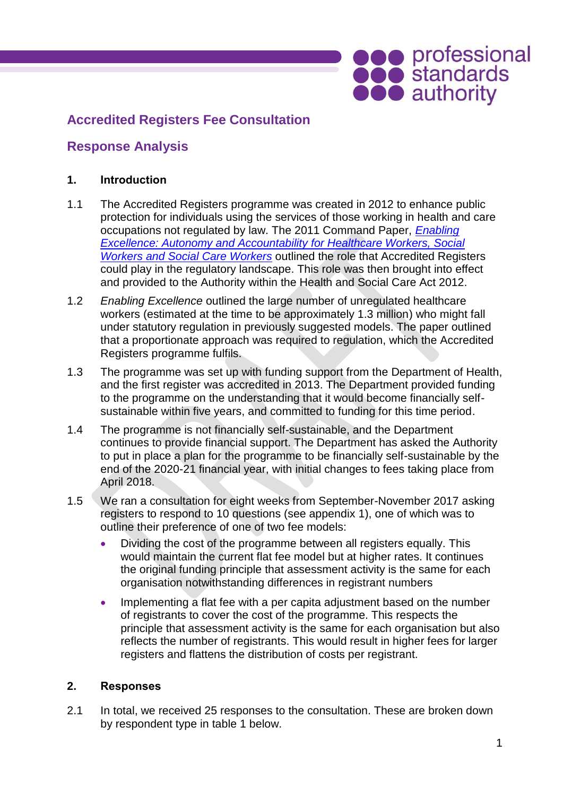# **SOO professional**<br> **Soo authority**

# **Accredited Registers Fee Consultation**

# **Response Analysis**

### **1. Introduction**

- 1.1 The Accredited Registers programme was created in 2012 to enhance public protection for individuals using the services of those working in health and care occupations not regulated by law. The 2011 Command Paper, *[Enabling](https://www.gov.uk/government/uploads/system/uploads/attachment_data/file/216580/dh_124374.pdf)  [Excellence: Autonomy and Accountability for Healthcare Workers, Social](https://www.gov.uk/government/uploads/system/uploads/attachment_data/file/216580/dh_124374.pdf)  [Workers and Social Care Workers](https://www.gov.uk/government/uploads/system/uploads/attachment_data/file/216580/dh_124374.pdf)* outlined the role that Accredited Registers could play in the regulatory landscape. This role was then brought into effect and provided to the Authority within the Health and Social Care Act 2012.
- 1.2 *Enabling Excellence* outlined the large number of unregulated healthcare workers (estimated at the time to be approximately 1.3 million) who might fall under statutory regulation in previously suggested models. The paper outlined that a proportionate approach was required to regulation, which the Accredited Registers programme fulfils.
- 1.3 The programme was set up with funding support from the Department of Health, and the first register was accredited in 2013. The Department provided funding to the programme on the understanding that it would become financially selfsustainable within five years, and committed to funding for this time period.
- 1.4 The programme is not financially self-sustainable, and the Department continues to provide financial support. The Department has asked the Authority to put in place a plan for the programme to be financially self-sustainable by the end of the 2020-21 financial year, with initial changes to fees taking place from April 2018.
- 1.5 We ran a consultation for eight weeks from September-November 2017 asking registers to respond to 10 questions (see appendix 1), one of which was to outline their preference of one of two fee models:
	- Dividing the cost of the programme between all registers equally. This would maintain the current flat fee model but at higher rates. It continues the original funding principle that assessment activity is the same for each organisation notwithstanding differences in registrant numbers
	- Implementing a flat fee with a per capita adjustment based on the number of registrants to cover the cost of the programme. This respects the principle that assessment activity is the same for each organisation but also reflects the number of registrants. This would result in higher fees for larger registers and flattens the distribution of costs per registrant.

#### **2. Responses**

2.1 In total, we received 25 responses to the consultation. These are broken down by respondent type in table 1 below.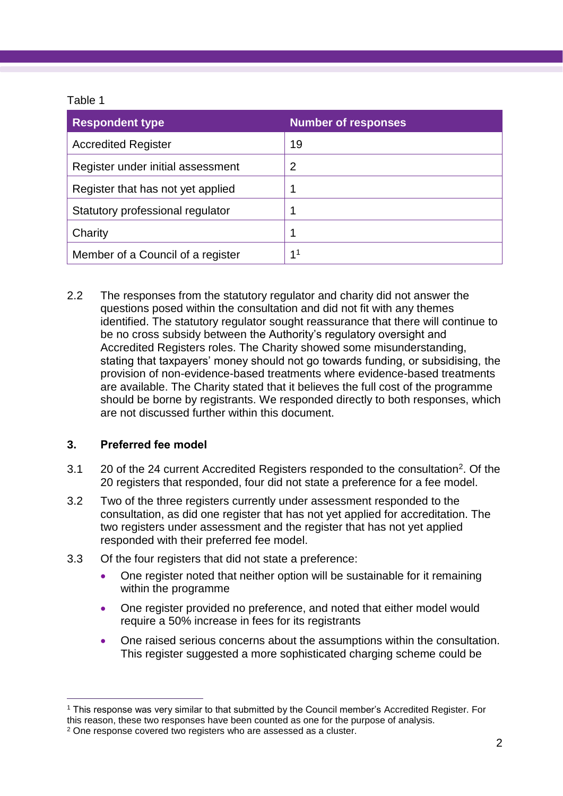### Table 1

| <b>Respondent type</b>            | <b>Number of responses</b> |
|-----------------------------------|----------------------------|
| <b>Accredited Register</b>        | 19                         |
| Register under initial assessment | 2                          |
| Register that has not yet applied |                            |
| Statutory professional regulator  |                            |
| Charity                           |                            |
| Member of a Council of a register | 11                         |

2.2 The responses from the statutory regulator and charity did not answer the questions posed within the consultation and did not fit with any themes identified. The statutory regulator sought reassurance that there will continue to be no cross subsidy between the Authority's regulatory oversight and Accredited Registers roles. The Charity showed some misunderstanding, stating that taxpayers' money should not go towards funding, or subsidising, the provision of non-evidence-based treatments where evidence-based treatments are available. The Charity stated that it believes the full cost of the programme should be borne by registrants. We responded directly to both responses, which are not discussed further within this document.

# **3. Preferred fee model**

- 3.1 20 of the 24 current Accredited Registers responded to the consultation<sup>2</sup>. Of the 20 registers that responded, four did not state a preference for a fee model.
- 3.2 Two of the three registers currently under assessment responded to the consultation, as did one register that has not yet applied for accreditation. The two registers under assessment and the register that has not yet applied responded with their preferred fee model.
- 3.3 Of the four registers that did not state a preference:
	- One register noted that neither option will be sustainable for it remaining within the programme
	- One register provided no preference, and noted that either model would require a 50% increase in fees for its registrants
	- One raised serious concerns about the assumptions within the consultation. This register suggested a more sophisticated charging scheme could be

 $\overline{a}$ <sup>1</sup> This response was very similar to that submitted by the Council member's Accredited Register. For this reason, these two responses have been counted as one for the purpose of analysis.

<sup>2</sup> One response covered two registers who are assessed as a cluster.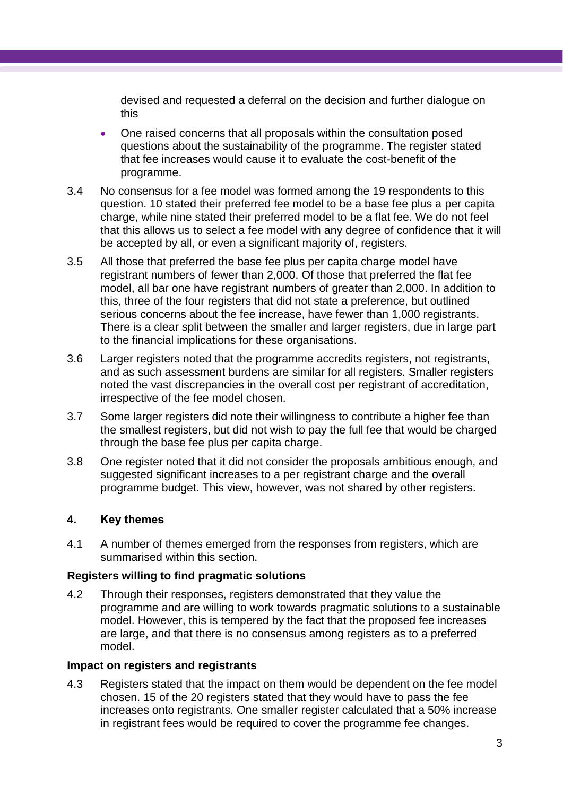devised and requested a deferral on the decision and further dialogue on this

- One raised concerns that all proposals within the consultation posed questions about the sustainability of the programme. The register stated that fee increases would cause it to evaluate the cost-benefit of the programme.
- 3.4 No consensus for a fee model was formed among the 19 respondents to this question. 10 stated their preferred fee model to be a base fee plus a per capita charge, while nine stated their preferred model to be a flat fee. We do not feel that this allows us to select a fee model with any degree of confidence that it will be accepted by all, or even a significant majority of, registers.
- 3.5 All those that preferred the base fee plus per capita charge model have registrant numbers of fewer than 2,000. Of those that preferred the flat fee model, all bar one have registrant numbers of greater than 2,000. In addition to this, three of the four registers that did not state a preference, but outlined serious concerns about the fee increase, have fewer than 1,000 registrants. There is a clear split between the smaller and larger registers, due in large part to the financial implications for these organisations.
- 3.6 Larger registers noted that the programme accredits registers, not registrants, and as such assessment burdens are similar for all registers. Smaller registers noted the vast discrepancies in the overall cost per registrant of accreditation, irrespective of the fee model chosen.
- 3.7 Some larger registers did note their willingness to contribute a higher fee than the smallest registers, but did not wish to pay the full fee that would be charged through the base fee plus per capita charge.
- 3.8 One register noted that it did not consider the proposals ambitious enough, and suggested significant increases to a per registrant charge and the overall programme budget. This view, however, was not shared by other registers.

# **4. Key themes**

4.1 A number of themes emerged from the responses from registers, which are summarised within this section.

#### **Registers willing to find pragmatic solutions**

4.2 Through their responses, registers demonstrated that they value the programme and are willing to work towards pragmatic solutions to a sustainable model. However, this is tempered by the fact that the proposed fee increases are large, and that there is no consensus among registers as to a preferred model.

#### **Impact on registers and registrants**

4.3 Registers stated that the impact on them would be dependent on the fee model chosen. 15 of the 20 registers stated that they would have to pass the fee increases onto registrants. One smaller register calculated that a 50% increase in registrant fees would be required to cover the programme fee changes.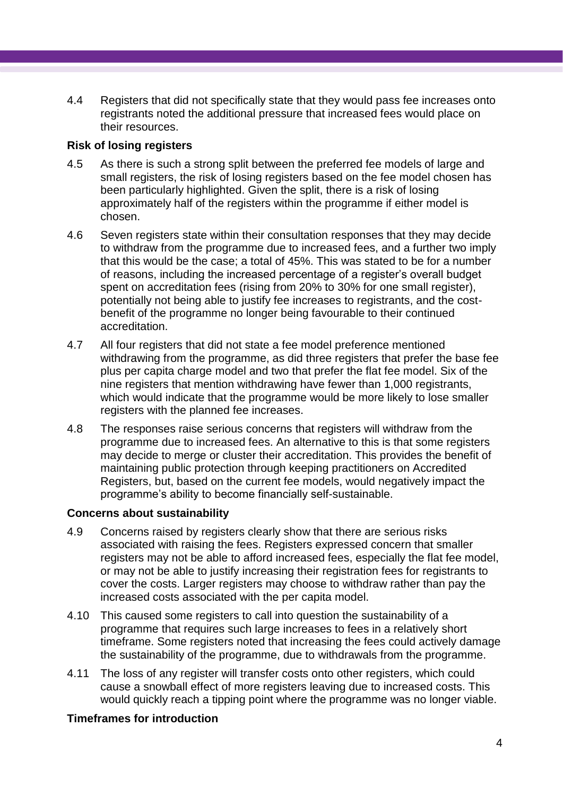4.4 Registers that did not specifically state that they would pass fee increases onto registrants noted the additional pressure that increased fees would place on their resources.

#### **Risk of losing registers**

- 4.5 As there is such a strong split between the preferred fee models of large and small registers, the risk of losing registers based on the fee model chosen has been particularly highlighted. Given the split, there is a risk of losing approximately half of the registers within the programme if either model is chosen.
- 4.6 Seven registers state within their consultation responses that they may decide to withdraw from the programme due to increased fees, and a further two imply that this would be the case; a total of 45%. This was stated to be for a number of reasons, including the increased percentage of a register's overall budget spent on accreditation fees (rising from 20% to 30% for one small register), potentially not being able to justify fee increases to registrants, and the costbenefit of the programme no longer being favourable to their continued accreditation.
- 4.7 All four registers that did not state a fee model preference mentioned withdrawing from the programme, as did three registers that prefer the base fee plus per capita charge model and two that prefer the flat fee model. Six of the nine registers that mention withdrawing have fewer than 1,000 registrants, which would indicate that the programme would be more likely to lose smaller registers with the planned fee increases.
- 4.8 The responses raise serious concerns that registers will withdraw from the programme due to increased fees. An alternative to this is that some registers may decide to merge or cluster their accreditation. This provides the benefit of maintaining public protection through keeping practitioners on Accredited Registers, but, based on the current fee models, would negatively impact the programme's ability to become financially self-sustainable.

#### **Concerns about sustainability**

- 4.9 Concerns raised by registers clearly show that there are serious risks associated with raising the fees. Registers expressed concern that smaller registers may not be able to afford increased fees, especially the flat fee model, or may not be able to justify increasing their registration fees for registrants to cover the costs. Larger registers may choose to withdraw rather than pay the increased costs associated with the per capita model.
- 4.10 This caused some registers to call into question the sustainability of a programme that requires such large increases to fees in a relatively short timeframe. Some registers noted that increasing the fees could actively damage the sustainability of the programme, due to withdrawals from the programme.
- 4.11 The loss of any register will transfer costs onto other registers, which could cause a snowball effect of more registers leaving due to increased costs. This would quickly reach a tipping point where the programme was no longer viable.

# **Timeframes for introduction**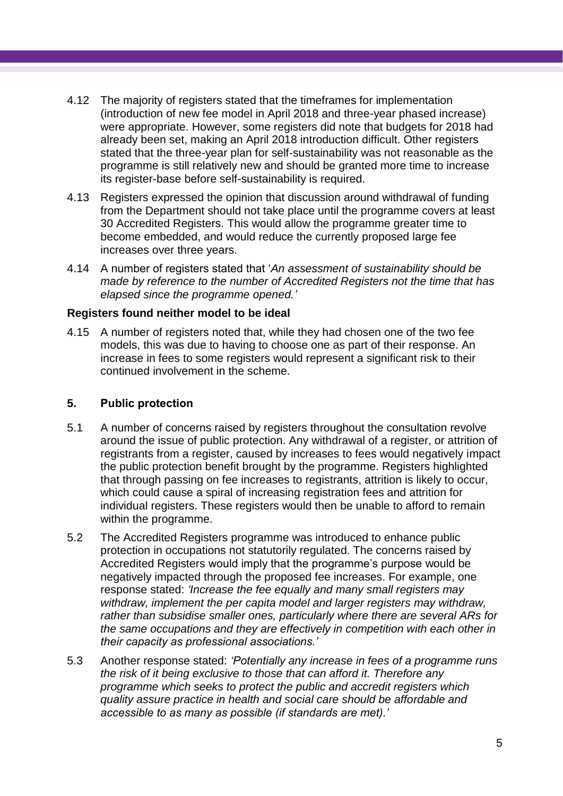- 4.12 The majority of registers stated that the timeframes for implementation (introduction of new fee model in April 2018 and three-year phased increase) were appropriate. However, some registers did note that budgets for 2018 had already been set, making an April 2018 introduction difficult. Other registers stated that the three-year plan for self-sustainability was not reasonable as the programme is still relatively new and should be granted more time to increase its register-base before self-sustainability is required.
- 4.13 Registers expressed the opinion that discussion around withdrawal of funding from the Department should not take place until the programme covers at least 30 Accredited Registers. This would allow the programme greater time to become embedded, and would reduce the currently proposed large fee increases over three years.
- 4.14 A number of registers stated that '*An assessment of sustainability should be made by reference to the number of Accredited Registers not the time that has elapsed since the programme opened.'*

#### **Registers found neither model to be ideal**

4.15 A number of registers noted that, while they had chosen one of the two fee models, this was due to having to choose one as part of their response. An increase in fees to some registers would represent a significant risk to their continued involvement in the scheme.

### **5. Public protection**

- 5.1 A number of concerns raised by registers throughout the consultation revolve around the issue of public protection. Any withdrawal of a register, or attrition of registrants from a register, caused by increases to fees would negatively impact the public protection benefit brought by the programme. Registers highlighted that through passing on fee increases to registrants, attrition is likely to occur, which could cause a spiral of increasing registration fees and attrition for individual registers. These registers would then be unable to afford to remain within the programme.
- 5.2 The Accredited Registers programme was introduced to enhance public protection in occupations not statutorily regulated. The concerns raised by Accredited Registers would imply that the programme's purpose would be negatively impacted through the proposed fee increases. For example, one response stated: *'Increase the fee equally and many small registers may withdraw, implement the per capita model and larger registers may withdraw, rather than subsidise smaller ones, particularly where there are several ARs for the same occupations and they are effectively in competition with each other in their capacity as professional associations.'*
- 5.3 Another response stated: *'Potentially any increase in fees of a programme runs the risk of it being exclusive to those that can afford it. Therefore any programme which seeks to protect the public and accredit registers which quality assure practice in health and social care should be affordable and accessible to as many as possible (if standards are met).'*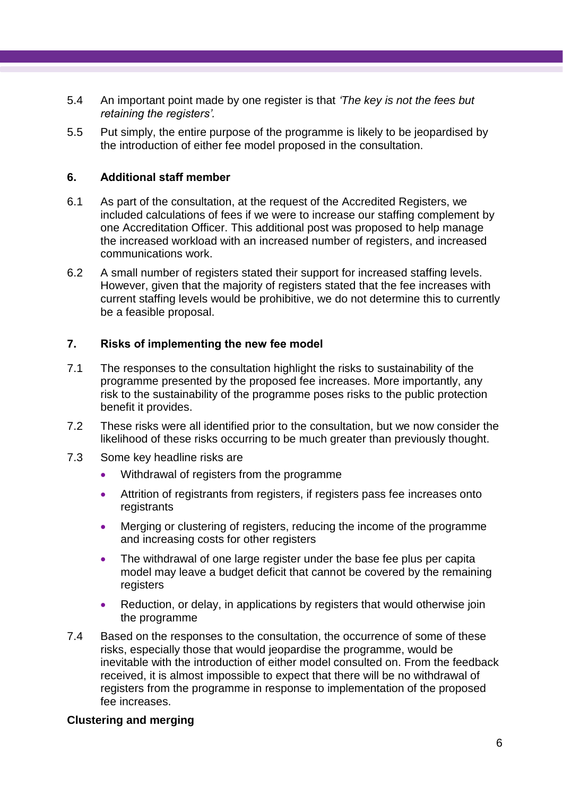- 5.4 An important point made by one register is that *'The key is not the fees but retaining the registers'.*
- 5.5 Put simply, the entire purpose of the programme is likely to be jeopardised by the introduction of either fee model proposed in the consultation.

#### **6. Additional staff member**

- 6.1 As part of the consultation, at the request of the Accredited Registers, we included calculations of fees if we were to increase our staffing complement by one Accreditation Officer. This additional post was proposed to help manage the increased workload with an increased number of registers, and increased communications work.
- 6.2 A small number of registers stated their support for increased staffing levels. However, given that the majority of registers stated that the fee increases with current staffing levels would be prohibitive, we do not determine this to currently be a feasible proposal.

#### **7. Risks of implementing the new fee model**

- 7.1 The responses to the consultation highlight the risks to sustainability of the programme presented by the proposed fee increases. More importantly, any risk to the sustainability of the programme poses risks to the public protection benefit it provides.
- 7.2 These risks were all identified prior to the consultation, but we now consider the likelihood of these risks occurring to be much greater than previously thought.
- 7.3 Some key headline risks are
	- Withdrawal of registers from the programme
	- Attrition of registrants from registers, if registers pass fee increases onto registrants
	- Merging or clustering of registers, reducing the income of the programme and increasing costs for other registers
	- The withdrawal of one large register under the base fee plus per capita model may leave a budget deficit that cannot be covered by the remaining registers
	- Reduction, or delay, in applications by registers that would otherwise join the programme
- 7.4 Based on the responses to the consultation, the occurrence of some of these risks, especially those that would jeopardise the programme, would be inevitable with the introduction of either model consulted on. From the feedback received, it is almost impossible to expect that there will be no withdrawal of registers from the programme in response to implementation of the proposed fee increases.

#### **Clustering and merging**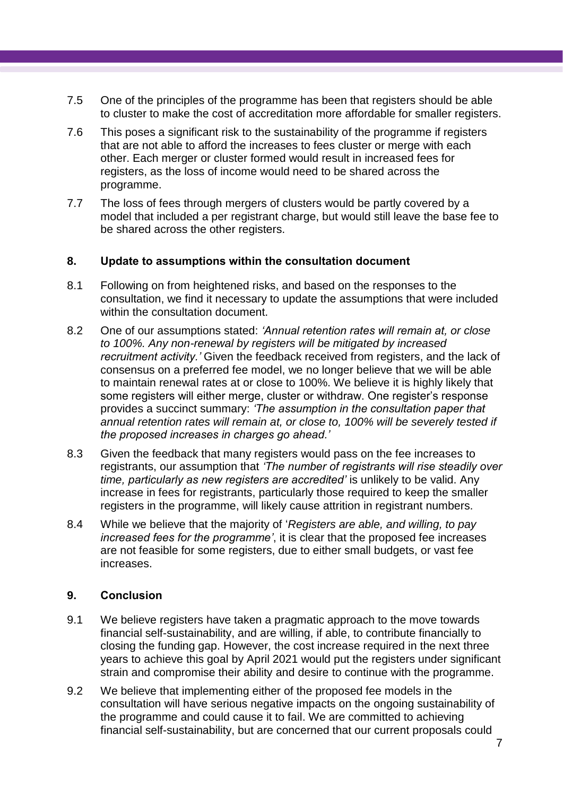- 7.5 One of the principles of the programme has been that registers should be able to cluster to make the cost of accreditation more affordable for smaller registers.
- 7.6 This poses a significant risk to the sustainability of the programme if registers that are not able to afford the increases to fees cluster or merge with each other. Each merger or cluster formed would result in increased fees for registers, as the loss of income would need to be shared across the programme.
- 7.7 The loss of fees through mergers of clusters would be partly covered by a model that included a per registrant charge, but would still leave the base fee to be shared across the other registers.

#### **8. Update to assumptions within the consultation document**

- 8.1 Following on from heightened risks, and based on the responses to the consultation, we find it necessary to update the assumptions that were included within the consultation document.
- 8.2 One of our assumptions stated: *'Annual retention rates will remain at, or close to 100%. Any non-renewal by registers will be mitigated by increased recruitment activity.'* Given the feedback received from registers, and the lack of consensus on a preferred fee model, we no longer believe that we will be able to maintain renewal rates at or close to 100%. We believe it is highly likely that some registers will either merge, cluster or withdraw. One register's response provides a succinct summary: *'The assumption in the consultation paper that annual retention rates will remain at, or close to, 100% will be severely tested if the proposed increases in charges go ahead.'*
- 8.3 Given the feedback that many registers would pass on the fee increases to registrants, our assumption that *'The number of registrants will rise steadily over time, particularly as new registers are accredited'* is unlikely to be valid. Any increase in fees for registrants, particularly those required to keep the smaller registers in the programme, will likely cause attrition in registrant numbers.
- 8.4 While we believe that the majority of '*Registers are able, and willing, to pay increased fees for the programme'*, it is clear that the proposed fee increases are not feasible for some registers, due to either small budgets, or vast fee increases.

# **9. Conclusion**

- 9.1 We believe registers have taken a pragmatic approach to the move towards financial self-sustainability, and are willing, if able, to contribute financially to closing the funding gap. However, the cost increase required in the next three years to achieve this goal by April 2021 would put the registers under significant strain and compromise their ability and desire to continue with the programme.
- 9.2 We believe that implementing either of the proposed fee models in the consultation will have serious negative impacts on the ongoing sustainability of the programme and could cause it to fail. We are committed to achieving financial self-sustainability, but are concerned that our current proposals could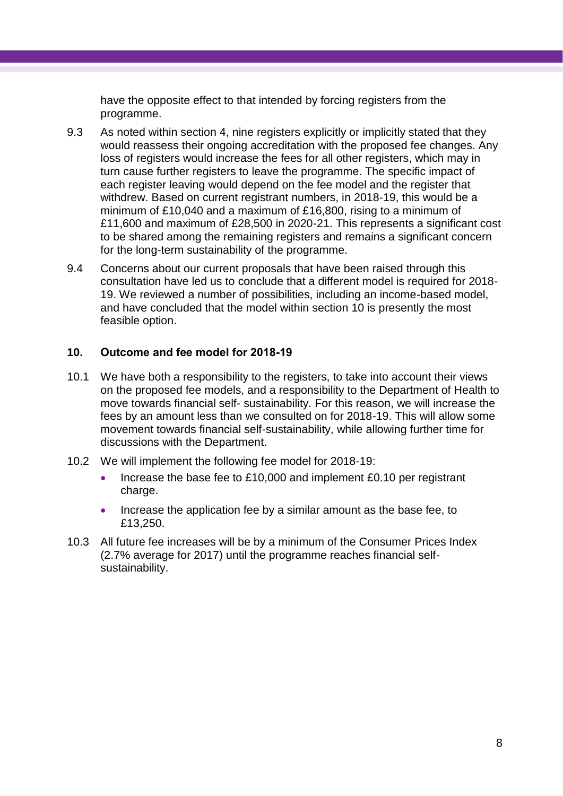have the opposite effect to that intended by forcing registers from the programme.

- 9.3 As noted within section 4, nine registers explicitly or implicitly stated that they would reassess their ongoing accreditation with the proposed fee changes. Any loss of registers would increase the fees for all other registers, which may in turn cause further registers to leave the programme. The specific impact of each register leaving would depend on the fee model and the register that withdrew. Based on current registrant numbers, in 2018-19, this would be a minimum of £10,040 and a maximum of £16,800, rising to a minimum of £11,600 and maximum of £28,500 in 2020-21. This represents a significant cost to be shared among the remaining registers and remains a significant concern for the long-term sustainability of the programme.
- 9.4 Concerns about our current proposals that have been raised through this consultation have led us to conclude that a different model is required for 2018- 19. We reviewed a number of possibilities, including an income-based model, and have concluded that the model within section 10 is presently the most feasible option.

#### **10. Outcome and fee model for 2018-19**

- 10.1 We have both a responsibility to the registers, to take into account their views on the proposed fee models, and a responsibility to the Department of Health to move towards financial self- sustainability. For this reason, we will increase the fees by an amount less than we consulted on for 2018-19. This will allow some movement towards financial self-sustainability, while allowing further time for discussions with the Department.
- 10.2 We will implement the following fee model for 2018-19:
	- Increase the base fee to £10,000 and implement £0.10 per registrant charge.
	- Increase the application fee by a similar amount as the base fee, to £13,250.
- 10.3 All future fee increases will be by a minimum of the Consumer Prices Index (2.7% average for 2017) until the programme reaches financial selfsustainability.